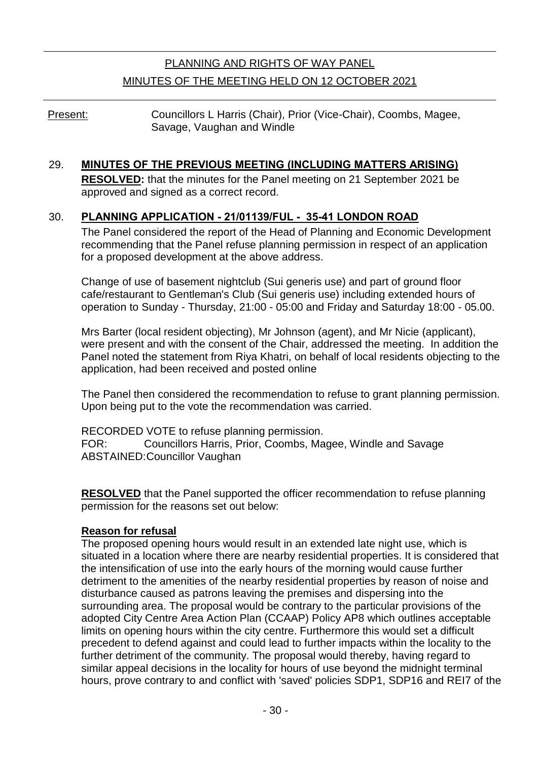# PLANNING AND RIGHTS OF WAY PANEL MINUTES OF THE MEETING HELD ON 12 OCTOBER 2021

Present: Councillors L Harris (Chair), Prior (Vice-Chair), Coombs, Magee, Savage, Vaughan and Windle

### 29. **MINUTES OF THE PREVIOUS MEETING (INCLUDING MATTERS ARISING)**

**RESOLVED:** that the minutes for the Panel meeting on 21 September 2021 be approved and signed as a correct record.

### 30. **PLANNING APPLICATION - 21/01139/FUL - 35-41 LONDON ROAD**

The Panel considered the report of the Head of Planning and Economic Development recommending that the Panel refuse planning permission in respect of an application for a proposed development at the above address.

Change of use of basement nightclub (Sui generis use) and part of ground floor cafe/restaurant to Gentleman's Club (Sui generis use) including extended hours of operation to Sunday - Thursday, 21:00 - 05:00 and Friday and Saturday 18:00 - 05.00.

Mrs Barter (local resident objecting), Mr Johnson (agent), and Mr Nicie (applicant), were present and with the consent of the Chair, addressed the meeting. In addition the Panel noted the statement from Riya Khatri, on behalf of local residents objecting to the application, had been received and posted online

The Panel then considered the recommendation to refuse to grant planning permission. Upon being put to the vote the recommendation was carried.

RECORDED VOTE to refuse planning permission. FOR: Councillors Harris, Prior, Coombs, Magee, Windle and Savage ABSTAINED:Councillor Vaughan

**RESOLVED** that the Panel supported the officer recommendation to refuse planning permission for the reasons set out below:

#### **Reason for refusal**

The proposed opening hours would result in an extended late night use, which is situated in a location where there are nearby residential properties. It is considered that the intensification of use into the early hours of the morning would cause further detriment to the amenities of the nearby residential properties by reason of noise and disturbance caused as patrons leaving the premises and dispersing into the surrounding area. The proposal would be contrary to the particular provisions of the adopted City Centre Area Action Plan (CCAAP) Policy AP8 which outlines acceptable limits on opening hours within the city centre. Furthermore this would set a difficult precedent to defend against and could lead to further impacts within the locality to the further detriment of the community. The proposal would thereby, having regard to similar appeal decisions in the locality for hours of use beyond the midnight terminal hours, prove contrary to and conflict with 'saved' policies SDP1, SDP16 and REI7 of the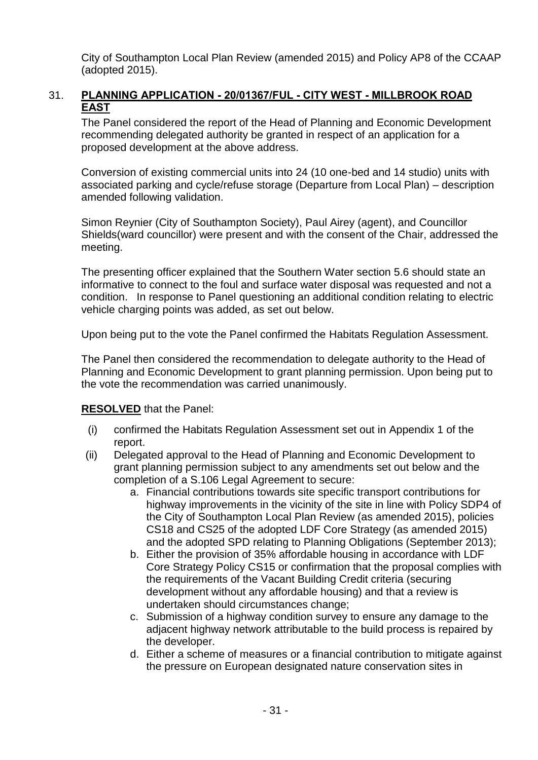City of Southampton Local Plan Review (amended 2015) and Policy AP8 of the CCAAP (adopted 2015).

## 31. **PLANNING APPLICATION - 20/01367/FUL - CITY WEST - MILLBROOK ROAD EAST**

The Panel considered the report of the Head of Planning and Economic Development recommending delegated authority be granted in respect of an application for a proposed development at the above address.

Conversion of existing commercial units into 24 (10 one-bed and 14 studio) units with associated parking and cycle/refuse storage (Departure from Local Plan) – description amended following validation.

Simon Reynier (City of Southampton Society), Paul Airey (agent), and Councillor Shields(ward councillor) were present and with the consent of the Chair, addressed the meeting.

The presenting officer explained that the Southern Water section 5.6 should state an informative to connect to the foul and surface water disposal was requested and not a condition. In response to Panel questioning an additional condition relating to electric vehicle charging points was added, as set out below.

Upon being put to the vote the Panel confirmed the Habitats Regulation Assessment.

The Panel then considered the recommendation to delegate authority to the Head of Planning and Economic Development to grant planning permission. Upon being put to the vote the recommendation was carried unanimously.

## **RESOLVED** that the Panel:

- (i) confirmed the Habitats Regulation Assessment set out in Appendix 1 of the report.
- (ii) Delegated approval to the Head of Planning and Economic Development to grant planning permission subject to any amendments set out below and the completion of a S.106 Legal Agreement to secure:
	- a. Financial contributions towards site specific transport contributions for highway improvements in the vicinity of the site in line with Policy SDP4 of the City of Southampton Local Plan Review (as amended 2015), policies CS18 and CS25 of the adopted LDF Core Strategy (as amended 2015) and the adopted SPD relating to Planning Obligations (September 2013);
	- b. Either the provision of 35% affordable housing in accordance with LDF Core Strategy Policy CS15 or confirmation that the proposal complies with the requirements of the Vacant Building Credit criteria (securing development without any affordable housing) and that a review is undertaken should circumstances change;
	- c. Submission of a highway condition survey to ensure any damage to the adjacent highway network attributable to the build process is repaired by the developer.
	- d. Either a scheme of measures or a financial contribution to mitigate against the pressure on European designated nature conservation sites in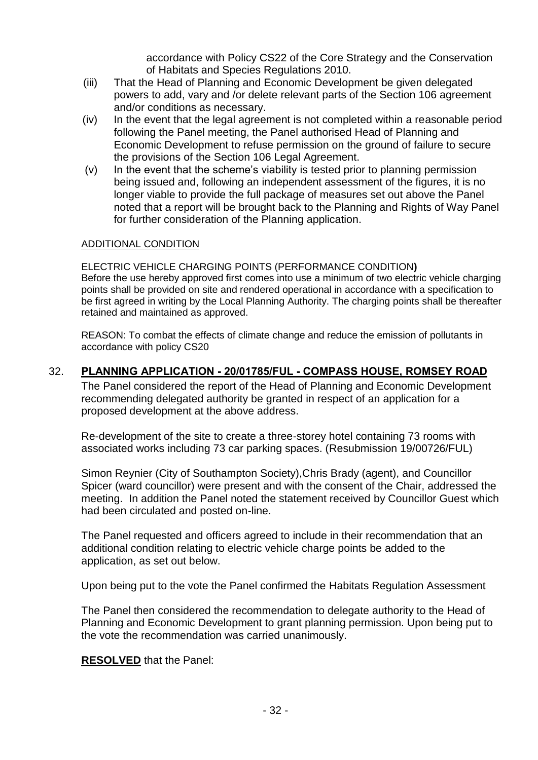accordance with Policy CS22 of the Core Strategy and the Conservation of Habitats and Species Regulations 2010.

- (iii) That the Head of Planning and Economic Development be given delegated powers to add, vary and /or delete relevant parts of the Section 106 agreement and/or conditions as necessary.
- (iv) In the event that the legal agreement is not completed within a reasonable period following the Panel meeting, the Panel authorised Head of Planning and Economic Development to refuse permission on the ground of failure to secure the provisions of the Section 106 Legal Agreement.
- (v) In the event that the scheme's viability is tested prior to planning permission being issued and, following an independent assessment of the figures, it is no longer viable to provide the full package of measures set out above the Panel noted that a report will be brought back to the Planning and Rights of Way Panel for further consideration of the Planning application.

#### ADDITIONAL CONDITION

ELECTRIC VEHICLE CHARGING POINTS (PERFORMANCE CONDITION**)** Before the use hereby approved first comes into use a minimum of two electric vehicle charging points shall be provided on site and rendered operational in accordance with a specification to be first agreed in writing by the Local Planning Authority. The charging points shall be thereafter retained and maintained as approved.

REASON: To combat the effects of climate change and reduce the emission of pollutants in accordance with policy CS20

### 32. **PLANNING APPLICATION - 20/01785/FUL - COMPASS HOUSE, ROMSEY ROAD**

The Panel considered the report of the Head of Planning and Economic Development recommending delegated authority be granted in respect of an application for a proposed development at the above address.

Re-development of the site to create a three-storey hotel containing 73 rooms with associated works including 73 car parking spaces. (Resubmission 19/00726/FUL)

Simon Reynier (City of Southampton Society),Chris Brady (agent), and Councillor Spicer (ward councillor) were present and with the consent of the Chair, addressed the meeting. In addition the Panel noted the statement received by Councillor Guest which had been circulated and posted on-line.

The Panel requested and officers agreed to include in their recommendation that an additional condition relating to electric vehicle charge points be added to the application, as set out below.

Upon being put to the vote the Panel confirmed the Habitats Regulation Assessment

The Panel then considered the recommendation to delegate authority to the Head of Planning and Economic Development to grant planning permission. Upon being put to the vote the recommendation was carried unanimously.

### **RESOLVED** that the Panel: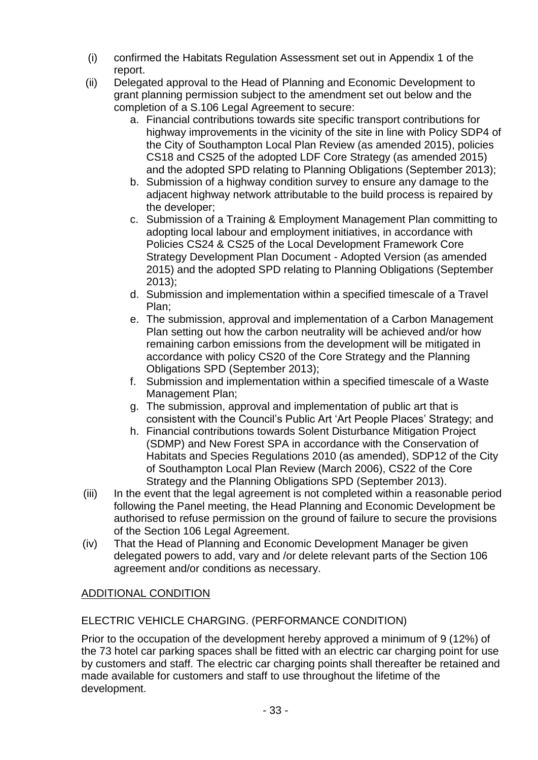- (i) confirmed the Habitats Regulation Assessment set out in Appendix 1 of the report.
- (ii) Delegated approval to the Head of Planning and Economic Development to grant planning permission subject to the amendment set out below and the completion of a S.106 Legal Agreement to secure:
	- a. Financial contributions towards site specific transport contributions for highway improvements in the vicinity of the site in line with Policy SDP4 of the City of Southampton Local Plan Review (as amended 2015), policies CS18 and CS25 of the adopted LDF Core Strategy (as amended 2015) and the adopted SPD relating to Planning Obligations (September 2013);
	- b. Submission of a highway condition survey to ensure any damage to the adjacent highway network attributable to the build process is repaired by the developer;
	- c. Submission of a Training & Employment Management Plan committing to adopting local labour and employment initiatives, in accordance with Policies CS24 & CS25 of the Local Development Framework Core Strategy Development Plan Document - Adopted Version (as amended 2015) and the adopted SPD relating to Planning Obligations (September 2013);
	- d. Submission and implementation within a specified timescale of a Travel Plan;
	- e. The submission, approval and implementation of a Carbon Management Plan setting out how the carbon neutrality will be achieved and/or how remaining carbon emissions from the development will be mitigated in accordance with policy CS20 of the Core Strategy and the Planning Obligations SPD (September 2013);
	- f. Submission and implementation within a specified timescale of a Waste Management Plan;
	- g. The submission, approval and implementation of public art that is consistent with the Council's Public Art 'Art People Places' Strategy; and
	- h. Financial contributions towards Solent Disturbance Mitigation Project (SDMP) and New Forest SPA in accordance with the Conservation of Habitats and Species Regulations 2010 (as amended), SDP12 of the City of Southampton Local Plan Review (March 2006), CS22 of the Core Strategy and the Planning Obligations SPD (September 2013).
- (iii) In the event that the legal agreement is not completed within a reasonable period following the Panel meeting, the Head Planning and Economic Development be authorised to refuse permission on the ground of failure to secure the provisions of the Section 106 Legal Agreement.
- (iv) That the Head of Planning and Economic Development Manager be given delegated powers to add, vary and /or delete relevant parts of the Section 106 agreement and/or conditions as necessary.

# ADDITIONAL CONDITION

# ELECTRIC VEHICLE CHARGING. (PERFORMANCE CONDITION)

Prior to the occupation of the development hereby approved a minimum of 9 (12%) of the 73 hotel car parking spaces shall be fitted with an electric car charging point for use by customers and staff. The electric car charging points shall thereafter be retained and made available for customers and staff to use throughout the lifetime of the development.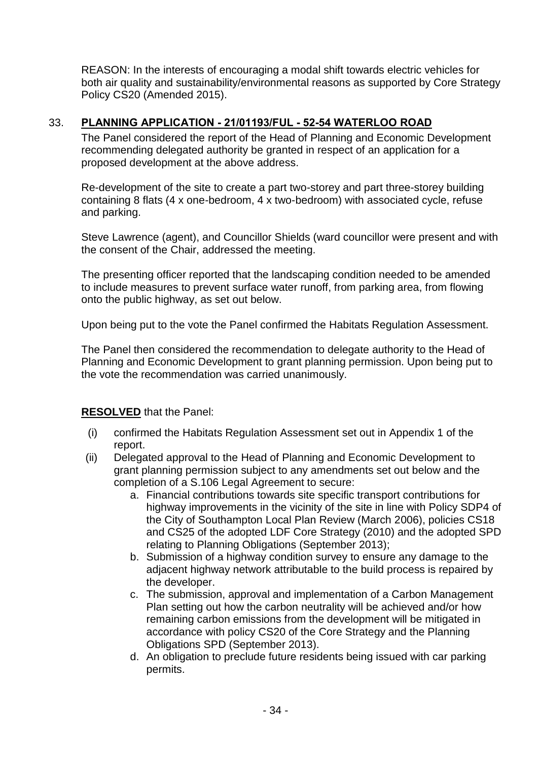REASON: In the interests of encouraging a modal shift towards electric vehicles for both air quality and sustainability/environmental reasons as supported by Core Strategy Policy CS20 (Amended 2015).

# 33. **PLANNING APPLICATION - 21/01193/FUL - 52-54 WATERLOO ROAD**

The Panel considered the report of the Head of Planning and Economic Development recommending delegated authority be granted in respect of an application for a proposed development at the above address.

Re-development of the site to create a part two-storey and part three-storey building containing 8 flats (4 x one-bedroom, 4 x two-bedroom) with associated cycle, refuse and parking.

Steve Lawrence (agent), and Councillor Shields (ward councillor were present and with the consent of the Chair, addressed the meeting.

The presenting officer reported that the landscaping condition needed to be amended to include measures to prevent surface water runoff, from parking area, from flowing onto the public highway, as set out below.

Upon being put to the vote the Panel confirmed the Habitats Regulation Assessment.

The Panel then considered the recommendation to delegate authority to the Head of Planning and Economic Development to grant planning permission. Upon being put to the vote the recommendation was carried unanimously.

## **RESOLVED** that the Panel:

- (i) confirmed the Habitats Regulation Assessment set out in Appendix 1 of the report.
- (ii) Delegated approval to the Head of Planning and Economic Development to grant planning permission subject to any amendments set out below and the completion of a S.106 Legal Agreement to secure:
	- a. Financial contributions towards site specific transport contributions for highway improvements in the vicinity of the site in line with Policy SDP4 of the City of Southampton Local Plan Review (March 2006), policies CS18 and CS25 of the adopted LDF Core Strategy (2010) and the adopted SPD relating to Planning Obligations (September 2013);
	- b. Submission of a highway condition survey to ensure any damage to the adjacent highway network attributable to the build process is repaired by the developer.
	- c. The submission, approval and implementation of a Carbon Management Plan setting out how the carbon neutrality will be achieved and/or how remaining carbon emissions from the development will be mitigated in accordance with policy CS20 of the Core Strategy and the Planning Obligations SPD (September 2013).
	- d. An obligation to preclude future residents being issued with car parking permits.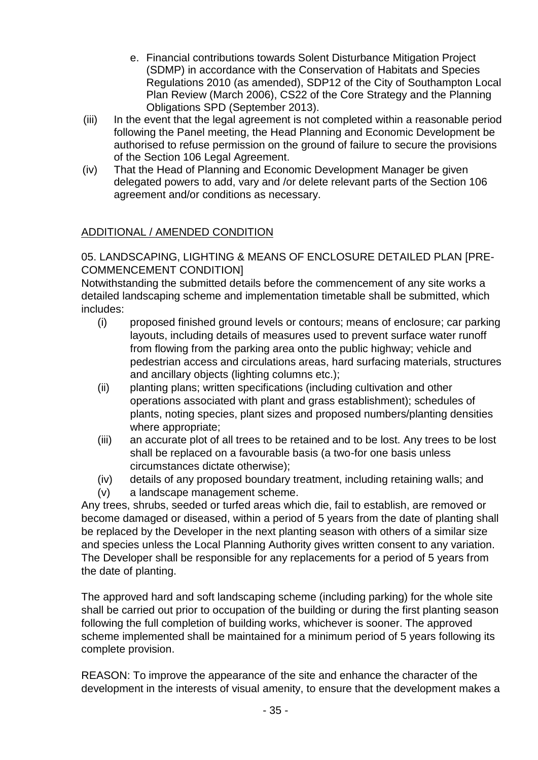- e. Financial contributions towards Solent Disturbance Mitigation Project (SDMP) in accordance with the Conservation of Habitats and Species Regulations 2010 (as amended), SDP12 of the City of Southampton Local Plan Review (March 2006), CS22 of the Core Strategy and the Planning Obligations SPD (September 2013).
- (iii) In the event that the legal agreement is not completed within a reasonable period following the Panel meeting, the Head Planning and Economic Development be authorised to refuse permission on the ground of failure to secure the provisions of the Section 106 Legal Agreement.
- (iv) That the Head of Planning and Economic Development Manager be given delegated powers to add, vary and /or delete relevant parts of the Section 106 agreement and/or conditions as necessary.

# ADDITIONAL / AMENDED CONDITION

# 05. LANDSCAPING, LIGHTING & MEANS OF ENCLOSURE DETAILED PLAN [PRE-COMMENCEMENT CONDITION]

Notwithstanding the submitted details before the commencement of any site works a detailed landscaping scheme and implementation timetable shall be submitted, which includes:

- (i) proposed finished ground levels or contours; means of enclosure; car parking layouts, including details of measures used to prevent surface water runoff from flowing from the parking area onto the public highway; vehicle and pedestrian access and circulations areas, hard surfacing materials, structures and ancillary objects (lighting columns etc.);
- (ii) planting plans; written specifications (including cultivation and other operations associated with plant and grass establishment); schedules of plants, noting species, plant sizes and proposed numbers/planting densities where appropriate;
- (iii) an accurate plot of all trees to be retained and to be lost. Any trees to be lost shall be replaced on a favourable basis (a two-for one basis unless circumstances dictate otherwise);
- (iv) details of any proposed boundary treatment, including retaining walls; and
- (v) a landscape management scheme.

Any trees, shrubs, seeded or turfed areas which die, fail to establish, are removed or become damaged or diseased, within a period of 5 years from the date of planting shall be replaced by the Developer in the next planting season with others of a similar size and species unless the Local Planning Authority gives written consent to any variation. The Developer shall be responsible for any replacements for a period of 5 years from the date of planting.

The approved hard and soft landscaping scheme (including parking) for the whole site shall be carried out prior to occupation of the building or during the first planting season following the full completion of building works, whichever is sooner. The approved scheme implemented shall be maintained for a minimum period of 5 years following its complete provision.

REASON: To improve the appearance of the site and enhance the character of the development in the interests of visual amenity, to ensure that the development makes a